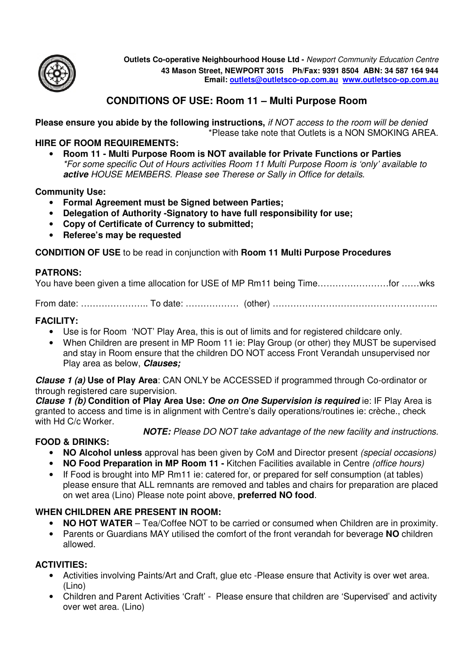

**Outlets Co-operative Neighbourhood House Ltd -** Newport Community Education Centre **43 Mason Street, NEWPORT 3015 Ph/Fax: 9391 8504 ABN: 34 587 164 944 Email: outlets@outletsco-op.com.au www.outletsco-op.com.au**

# **CONDITIONS OF USE: Room 11 – Multi Purpose Room**

**Please ensure you abide by the following instructions,** if NOT access to the room will be denied \*Please take note that Outlets is a NON SMOKING AREA.

#### **HIRE OF ROOM REQUIREMENTS:**

• **Room 11 - Multi Purpose Room is NOT available for Private Functions or Parties**  \*For some specific Out of Hours activities Room 11 Multi Purpose Room is 'only' available to **active** HOUSE MEMBERS. Please see Therese or Sally in Office for details.

#### **Community Use:**

- **Formal Agreement must be Signed between Parties;**
- **Delegation of Authority -Signatory to have full responsibility for use;**
- **Copy of Certificate of Currency to submitted;**
- **Referee's may be requested**

**CONDITION OF USE** to be read in conjunction with **Room 11 Multi Purpose Procedures**

#### **PATRONS:**

| You have been given a time allocation for USE of MP Rm11 being Timefor wks |  |  |
|----------------------------------------------------------------------------|--|--|
|----------------------------------------------------------------------------|--|--|

From date: ………………….. To date: ……………… (other) ………………………………………………..

#### **FACILITY:**

- Use is for Room 'NOT' Play Area, this is out of limits and for registered childcare only.
- When Children are present in MP Room 11 ie: Play Group (or other) they MUST be supervised and stay in Room ensure that the children DO NOT access Front Verandah unsupervised nor Play area as below, **Clauses;**

**Clause 1 (a) Use of Play Area**: CAN ONLY be ACCESSED if programmed through Co-ordinator or through registered care supervision.

**Clause 1 (b) Condition of Play Area Use: One on One Supervision is required** ie: IF Play Area is granted to access and time is in alignment with Centre's daily operations/routines ie: crèche., check with Hd C/c Worker.

**NOTE:** Please DO NOT take advantage of the new facility and instructions.

## **FOOD & DRINKS:**

- **NO Alcohol unless** approval has been given by CoM and Director present (special occasions)
- **NO Food Preparation in MP Room 11 -** Kitchen Facilities available in Centre (office hours)
- If Food is brought into MP Rm11 ie: catered for, or prepared for self consumption (at tables) please ensure that ALL remnants are removed and tables and chairs for preparation are placed on wet area (Lino) Please note point above, **preferred NO food**.

## **WHEN CHILDREN ARE PRESENT IN ROOM:**

- **NO HOT WATER**  Tea/Coffee NOT to be carried or consumed when Children are in proximity.
- Parents or Guardians MAY utilised the comfort of the front verandah for beverage **NO** children allowed.

## **ACTIVITIES:**

- Activities involving Paints/Art and Craft, glue etc -Please ensure that Activity is over wet area. (Lino)
- Children and Parent Activities 'Craft' Please ensure that children are 'Supervised' and activity over wet area. (Lino)